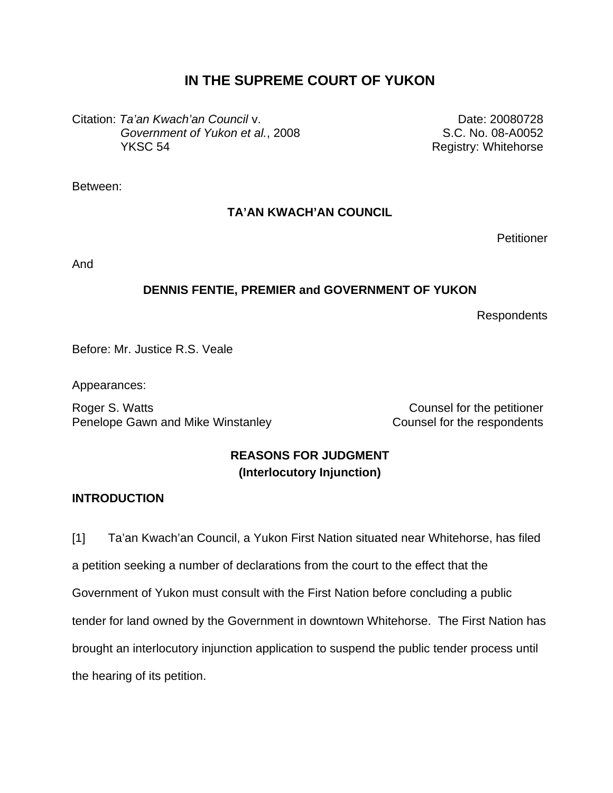# **IN THE SUPREME COURT OF YUKON**

Citation: *Ta'an Kwach'an Council* v. *Government of Yukon et al.*, 2008 YKSC 54

Date: 20080728 S.C. No. 08-A0052 Registry: Whitehorse

Between:

## **TA'AN KWACH'AN COUNCIL**

**Petitioner** 

And

# **DENNIS FENTIE, PREMIER and GOVERNMENT OF YUKON**

Respondents

Before: Mr. Justice R.S. Veale

Appearances:

Roger S. Watts **Counsel for the petitioner** Penelope Gawn and Mike Winstanley **Counsel for the respondents** 

# **REASONS FOR JUDGMENT (Interlocutory Injunction)**

## **INTRODUCTION**

[1] Ta'an Kwach'an Council, a Yukon First Nation situated near Whitehorse, has filed a petition seeking a number of declarations from the court to the effect that the Government of Yukon must consult with the First Nation before concluding a public tender for land owned by the Government in downtown Whitehorse. The First Nation has brought an interlocutory injunction application to suspend the public tender process until the hearing of its petition.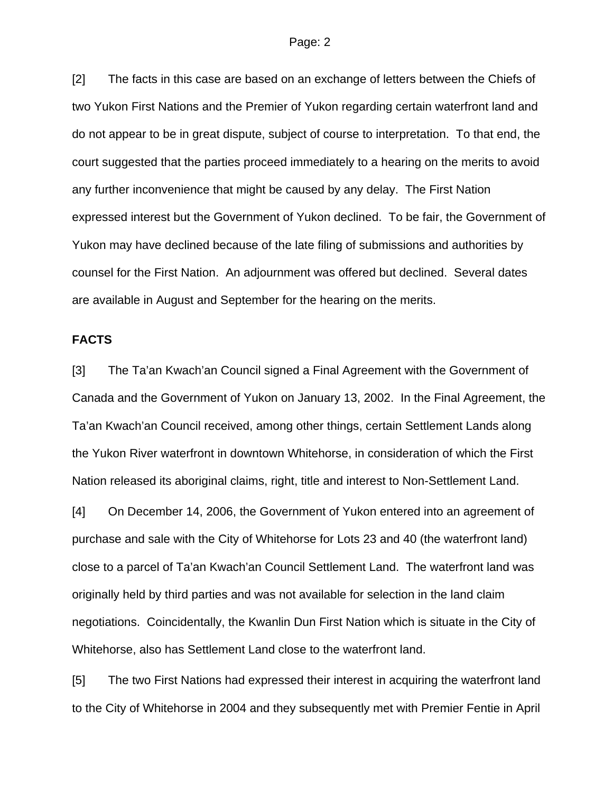[2] The facts in this case are based on an exchange of letters between the Chiefs of two Yukon First Nations and the Premier of Yukon regarding certain waterfront land and do not appear to be in great dispute, subject of course to interpretation. To that end, the court suggested that the parties proceed immediately to a hearing on the merits to avoid any further inconvenience that might be caused by any delay. The First Nation expressed interest but the Government of Yukon declined. To be fair, the Government of Yukon may have declined because of the late filing of submissions and authorities by counsel for the First Nation. An adjournment was offered but declined. Several dates are available in August and September for the hearing on the merits.

#### **FACTS**

[3] The Ta'an Kwach'an Council signed a Final Agreement with the Government of Canada and the Government of Yukon on January 13, 2002. In the Final Agreement, the Ta'an Kwach'an Council received, among other things, certain Settlement Lands along the Yukon River waterfront in downtown Whitehorse, in consideration of which the First Nation released its aboriginal claims, right, title and interest to Non-Settlement Land.

[4] On December 14, 2006, the Government of Yukon entered into an agreement of purchase and sale with the City of Whitehorse for Lots 23 and 40 (the waterfront land) close to a parcel of Ta'an Kwach'an Council Settlement Land. The waterfront land was originally held by third parties and was not available for selection in the land claim negotiations. Coincidentally, the Kwanlin Dun First Nation which is situate in the City of Whitehorse, also has Settlement Land close to the waterfront land.

[5] The two First Nations had expressed their interest in acquiring the waterfront land to the City of Whitehorse in 2004 and they subsequently met with Premier Fentie in April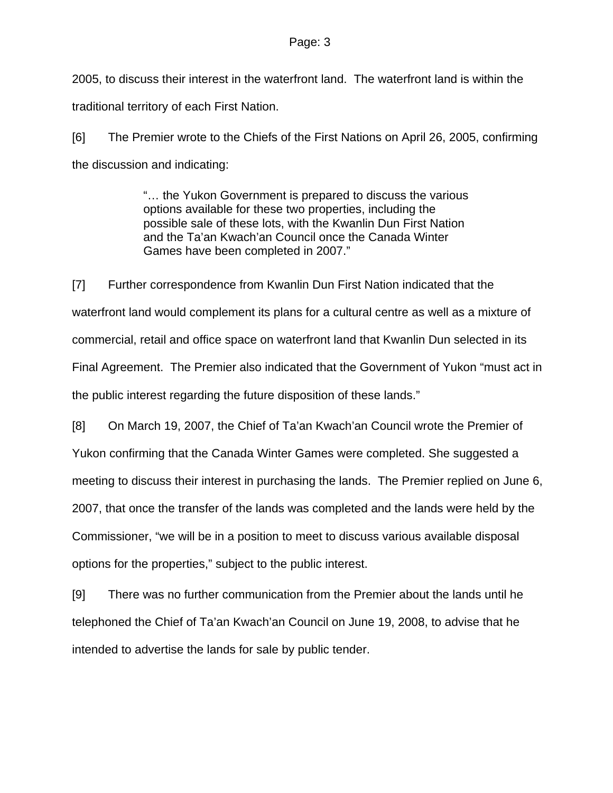2005, to discuss their interest in the waterfront land. The waterfront land is within the traditional territory of each First Nation.

[6] The Premier wrote to the Chiefs of the First Nations on April 26, 2005, confirming the discussion and indicating:

> "… the Yukon Government is prepared to discuss the various options available for these two properties, including the possible sale of these lots, with the Kwanlin Dun First Nation and the Ta'an Kwach'an Council once the Canada Winter Games have been completed in 2007."

[7] Further correspondence from Kwanlin Dun First Nation indicated that the waterfront land would complement its plans for a cultural centre as well as a mixture of commercial, retail and office space on waterfront land that Kwanlin Dun selected in its Final Agreement. The Premier also indicated that the Government of Yukon "must act in the public interest regarding the future disposition of these lands."

[8] On March 19, 2007, the Chief of Ta'an Kwach'an Council wrote the Premier of Yukon confirming that the Canada Winter Games were completed. She suggested a meeting to discuss their interest in purchasing the lands. The Premier replied on June 6, 2007, that once the transfer of the lands was completed and the lands were held by the Commissioner, "we will be in a position to meet to discuss various available disposal options for the properties," subject to the public interest.

[9] There was no further communication from the Premier about the lands until he telephoned the Chief of Ta'an Kwach'an Council on June 19, 2008, to advise that he intended to advertise the lands for sale by public tender.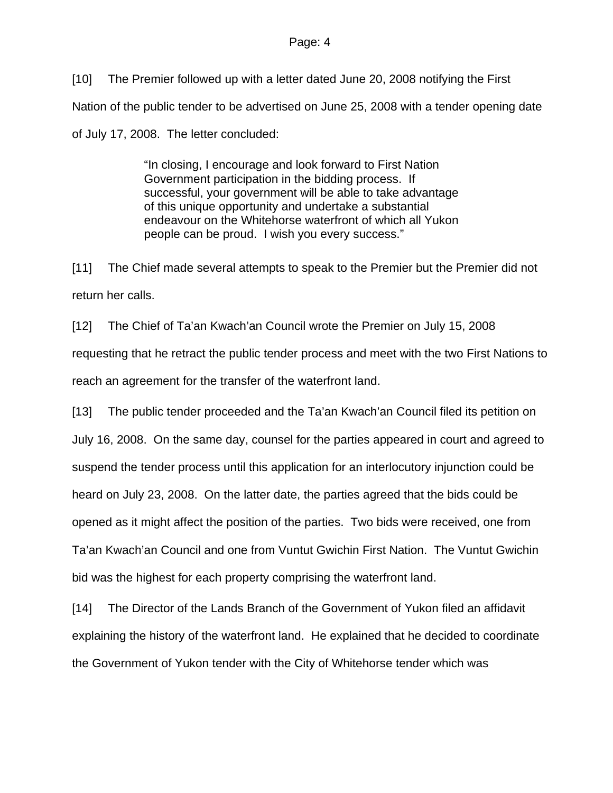[10] The Premier followed up with a letter dated June 20, 2008 notifying the First Nation of the public tender to be advertised on June 25, 2008 with a tender opening date of July 17, 2008. The letter concluded:

> "In closing, I encourage and look forward to First Nation Government participation in the bidding process. If successful, your government will be able to take advantage of this unique opportunity and undertake a substantial endeavour on the Whitehorse waterfront of which all Yukon people can be proud. I wish you every success."

[11] The Chief made several attempts to speak to the Premier but the Premier did not return her calls.

[12] The Chief of Ta'an Kwach'an Council wrote the Premier on July 15, 2008 requesting that he retract the public tender process and meet with the two First Nations to reach an agreement for the transfer of the waterfront land.

[13] The public tender proceeded and the Ta'an Kwach'an Council filed its petition on July 16, 2008. On the same day, counsel for the parties appeared in court and agreed to suspend the tender process until this application for an interlocutory injunction could be heard on July 23, 2008. On the latter date, the parties agreed that the bids could be opened as it might affect the position of the parties. Two bids were received, one from Ta'an Kwach'an Council and one from Vuntut Gwichin First Nation. The Vuntut Gwichin bid was the highest for each property comprising the waterfront land.

[14] The Director of the Lands Branch of the Government of Yukon filed an affidavit explaining the history of the waterfront land. He explained that he decided to coordinate the Government of Yukon tender with the City of Whitehorse tender which was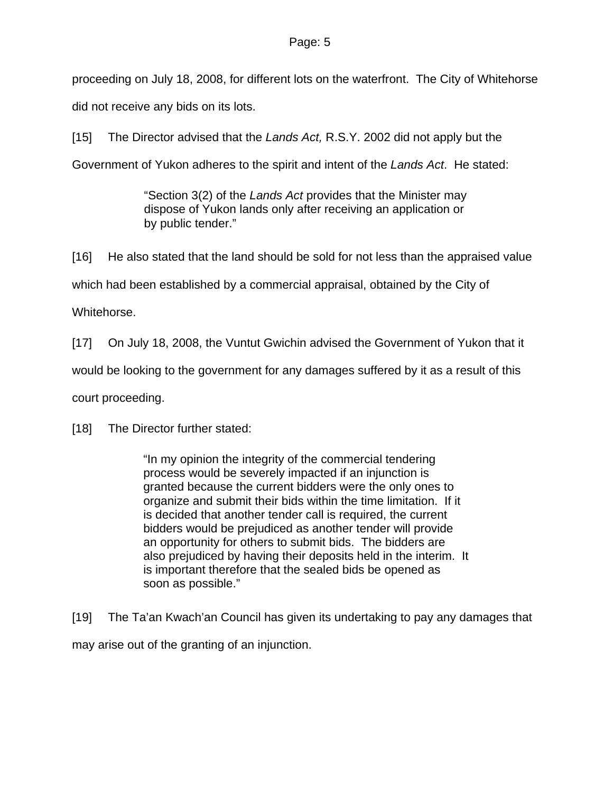proceeding on July 18, 2008, for different lots on the waterfront. The City of Whitehorse did not receive any bids on its lots.

[15] The Director advised that the *Lands Act,* R.S.Y. 2002 did not apply but the Government of Yukon adheres to the spirit and intent of the *Lands Act*. He stated:

> "Section 3(2) of the *Lands Act* provides that the Minister may dispose of Yukon lands only after receiving an application or by public tender."

[16] He also stated that the land should be sold for not less than the appraised value which had been established by a commercial appraisal, obtained by the City of Whitehorse.

[17] On July 18, 2008, the Vuntut Gwichin advised the Government of Yukon that it would be looking to the government for any damages suffered by it as a result of this court proceeding.

[18] The Director further stated:

"In my opinion the integrity of the commercial tendering process would be severely impacted if an injunction is granted because the current bidders were the only ones to organize and submit their bids within the time limitation. If it is decided that another tender call is required, the current bidders would be prejudiced as another tender will provide an opportunity for others to submit bids. The bidders are also prejudiced by having their deposits held in the interim. It is important therefore that the sealed bids be opened as soon as possible."

[19] The Ta'an Kwach'an Council has given its undertaking to pay any damages that may arise out of the granting of an injunction.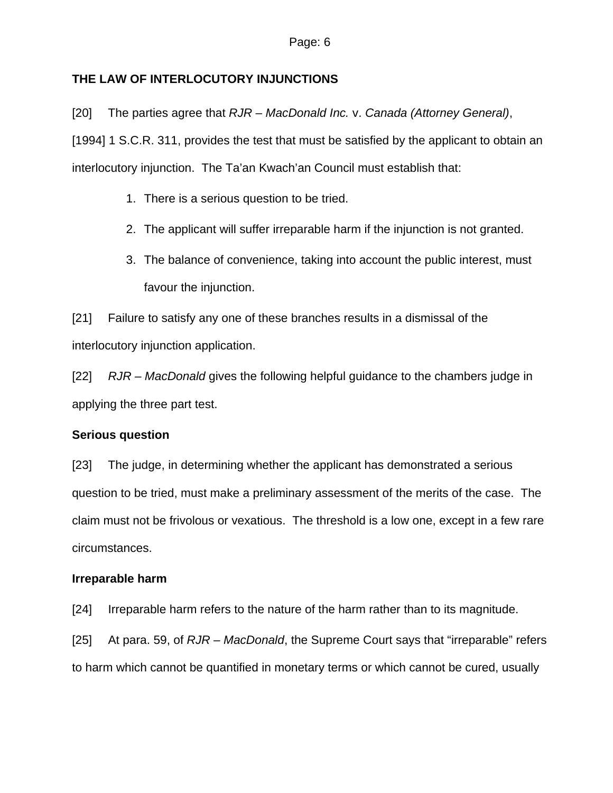## **THE LAW OF INTERLOCUTORY INJUNCTIONS**

[20] The parties agree that *RJR – MacDonald Inc.* v. *Canada (Attorney General)*, [1994] 1 S.C.R. 311, provides the test that must be satisfied by the applicant to obtain an interlocutory injunction. The Ta'an Kwach'an Council must establish that:

- 1. There is a serious question to be tried.
- 2. The applicant will suffer irreparable harm if the injunction is not granted.
- 3. The balance of convenience, taking into account the public interest, must favour the injunction.

[21] Failure to satisfy any one of these branches results in a dismissal of the interlocutory injunction application.

[22] *RJR – MacDonald* gives the following helpful guidance to the chambers judge in applying the three part test.

## **Serious question**

[23] The judge, in determining whether the applicant has demonstrated a serious question to be tried, must make a preliminary assessment of the merits of the case. The claim must not be frivolous or vexatious. The threshold is a low one, except in a few rare circumstances.

## **Irreparable harm**

[24] Irreparable harm refers to the nature of the harm rather than to its magnitude.

[25] At para. 59, of *RJR – MacDonald*, the Supreme Court says that "irreparable" refers to harm which cannot be quantified in monetary terms or which cannot be cured, usually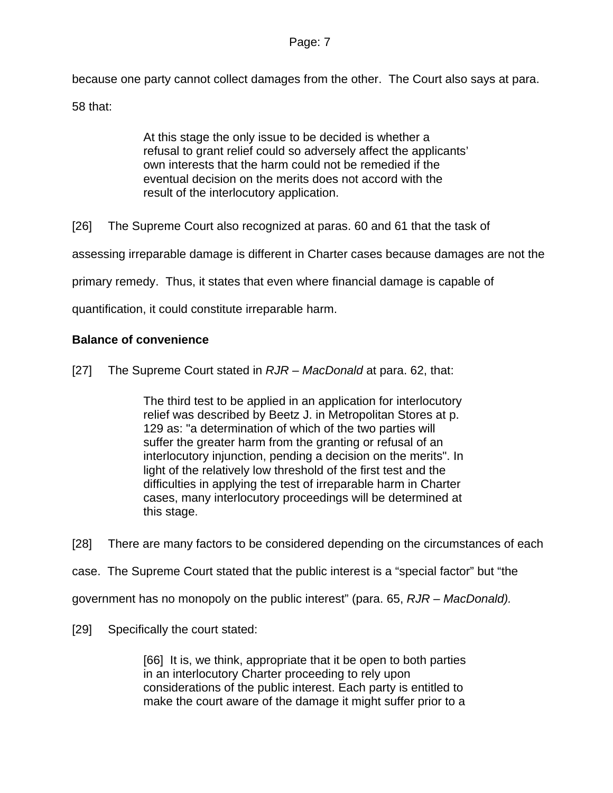because one party cannot collect damages from the other. The Court also says at para.

58 that:

At this stage the only issue to be decided is whether a refusal to grant relief could so adversely affect the applicants' own interests that the harm could not be remedied if the eventual decision on the merits does not accord with the result of the interlocutory application.

[26] The Supreme Court also recognized at paras. 60 and 61 that the task of

assessing irreparable damage is different in Charter cases because damages are not the

primary remedy. Thus, it states that even where financial damage is capable of

quantification, it could constitute irreparable harm.

### **Balance of convenience**

[27] The Supreme Court stated in *RJR – MacDonald* at para. 62, that:

The third test to be applied in an application for interlocutory relief was described by Beetz J. in Metropolitan Stores at p. 129 as: "a determination of which of the two parties will suffer the greater harm from the granting or refusal of an interlocutory injunction, pending a decision on the merits". In light of the relatively low threshold of the first test and the difficulties in applying the test of irreparable harm in Charter cases, many interlocutory proceedings will be determined at this stage.

[28] There are many factors to be considered depending on the circumstances of each

case. The Supreme Court stated that the public interest is a "special factor" but "the

government has no monopoly on the public interest" (para. 65, *RJR – MacDonald).*

[29] Specifically the court stated:

[66] It is, we think, appropriate that it be open to both parties in an interlocutory Charter proceeding to rely upon considerations of the public interest. Each party is entitled to make the court aware of the damage it might suffer prior to a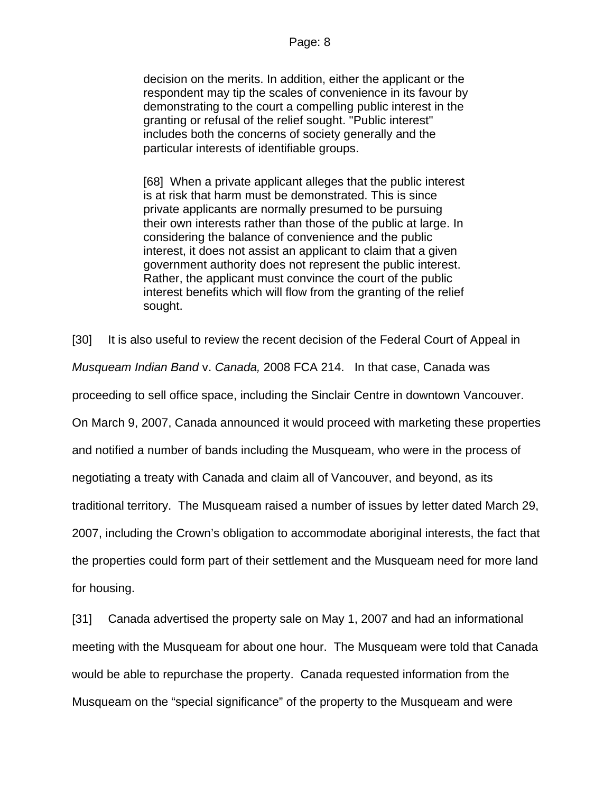decision on the merits. In addition, either the applicant or the respondent may tip the scales of convenience in its favour by demonstrating to the court a compelling public interest in the granting or refusal of the relief sought. "Public interest" includes both the concerns of society generally and the particular interests of identifiable groups.

[68] When a private applicant alleges that the public interest is at risk that harm must be demonstrated. This is since private applicants are normally presumed to be pursuing their own interests rather than those of the public at large. In considering the balance of convenience and the public interest, it does not assist an applicant to claim that a given government authority does not represent the public interest. Rather, the applicant must convince the court of the public interest benefits which will flow from the granting of the relief sought.

[30] It is also useful to review the recent decision of the Federal Court of Appeal in *Musqueam Indian Band* v. *Canada,* 2008 FCA 214. In that case, Canada was proceeding to sell office space, including the Sinclair Centre in downtown Vancouver. On March 9, 2007, Canada announced it would proceed with marketing these properties and notified a number of bands including the Musqueam, who were in the process of negotiating a treaty with Canada and claim all of Vancouver, and beyond, as its traditional territory. The Musqueam raised a number of issues by letter dated March 29, 2007, including the Crown's obligation to accommodate aboriginal interests, the fact that the properties could form part of their settlement and the Musqueam need for more land for housing.

[31] Canada advertised the property sale on May 1, 2007 and had an informational meeting with the Musqueam for about one hour. The Musqueam were told that Canada would be able to repurchase the property. Canada requested information from the Musqueam on the "special significance" of the property to the Musqueam and were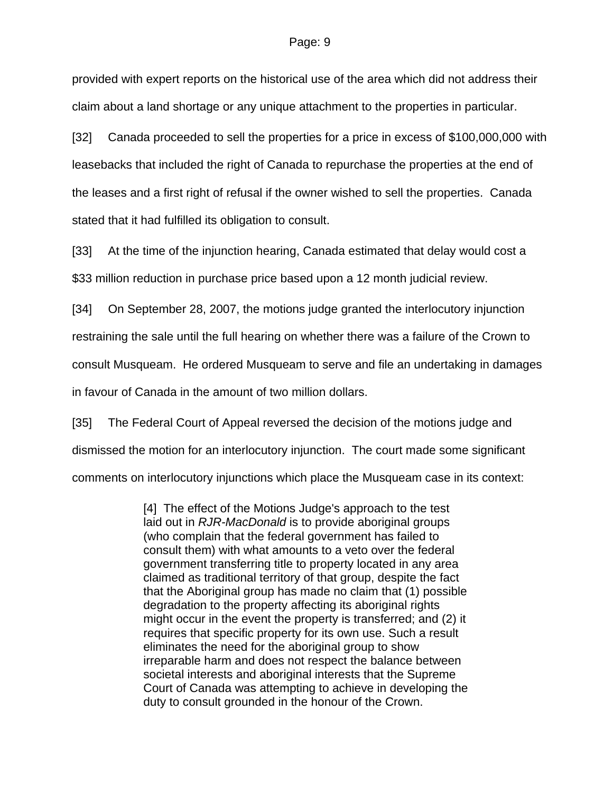provided with expert reports on the historical use of the area which did not address their claim about a land shortage or any unique attachment to the properties in particular.

[32] Canada proceeded to sell the properties for a price in excess of \$100,000,000 with leasebacks that included the right of Canada to repurchase the properties at the end of the leases and a first right of refusal if the owner wished to sell the properties. Canada stated that it had fulfilled its obligation to consult.

[33] At the time of the injunction hearing, Canada estimated that delay would cost a \$33 million reduction in purchase price based upon a 12 month judicial review.

[34] On September 28, 2007, the motions judge granted the interlocutory injunction restraining the sale until the full hearing on whether there was a failure of the Crown to consult Musqueam. He ordered Musqueam to serve and file an undertaking in damages in favour of Canada in the amount of two million dollars.

[35] The Federal Court of Appeal reversed the decision of the motions judge and dismissed the motion for an interlocutory injunction. The court made some significant comments on interlocutory injunctions which place the Musqueam case in its context:

> [4] The effect of the Motions Judge's approach to the test laid out in *RJR-MacDonald* is to provide aboriginal groups (who complain that the federal government has failed to consult them) with what amounts to a veto over the federal government transferring title to property located in any area claimed as traditional territory of that group, despite the fact that the Aboriginal group has made no claim that (1) possible degradation to the property affecting its aboriginal rights might occur in the event the property is transferred; and (2) it requires that specific property for its own use. Such a result eliminates the need for the aboriginal group to show irreparable harm and does not respect the balance between societal interests and aboriginal interests that the Supreme Court of Canada was attempting to achieve in developing the duty to consult grounded in the honour of the Crown.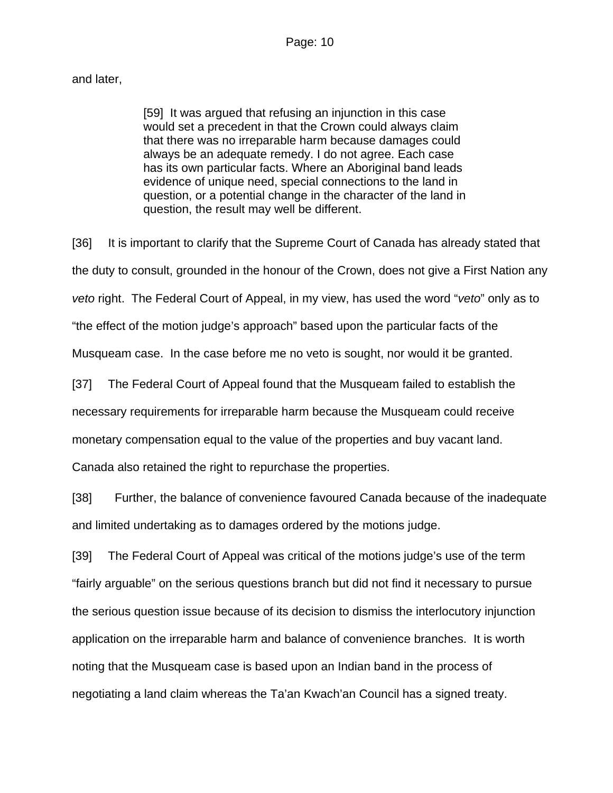## and later,

[59] It was argued that refusing an injunction in this case would set a precedent in that the Crown could always claim that there was no irreparable harm because damages could always be an adequate remedy. I do not agree. Each case has its own particular facts. Where an Aboriginal band leads evidence of unique need, special connections to the land in question, or a potential change in the character of the land in question, the result may well be different.

[36] It is important to clarify that the Supreme Court of Canada has already stated that the duty to consult, grounded in the honour of the Crown, does not give a First Nation any *veto* right. The Federal Court of Appeal, in my view, has used the word "*veto*" only as to "the effect of the motion judge's approach" based upon the particular facts of the Musqueam case. In the case before me no veto is sought, nor would it be granted.

[37] The Federal Court of Appeal found that the Musqueam failed to establish the

necessary requirements for irreparable harm because the Musqueam could receive

monetary compensation equal to the value of the properties and buy vacant land.

Canada also retained the right to repurchase the properties.

[38] Further, the balance of convenience favoured Canada because of the inadequate and limited undertaking as to damages ordered by the motions judge.

[39] The Federal Court of Appeal was critical of the motions judge's use of the term "fairly arguable" on the serious questions branch but did not find it necessary to pursue the serious question issue because of its decision to dismiss the interlocutory injunction application on the irreparable harm and balance of convenience branches. It is worth noting that the Musqueam case is based upon an Indian band in the process of negotiating a land claim whereas the Ta'an Kwach'an Council has a signed treaty.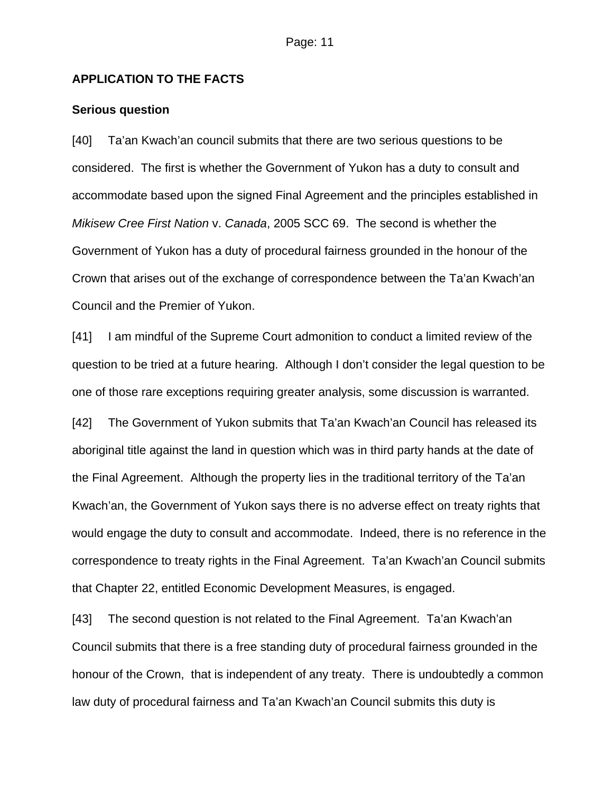## **APPLICATION TO THE FACTS**

#### **Serious question**

[40] Ta'an Kwach'an council submits that there are two serious questions to be considered. The first is whether the Government of Yukon has a duty to consult and accommodate based upon the signed Final Agreement and the principles established in *Mikisew Cree First Nation* v. *Canada*, 2005 SCC 69. The second is whether the Government of Yukon has a duty of procedural fairness grounded in the honour of the Crown that arises out of the exchange of correspondence between the Ta'an Kwach'an Council and the Premier of Yukon.

[41] I am mindful of the Supreme Court admonition to conduct a limited review of the question to be tried at a future hearing. Although I don't consider the legal question to be one of those rare exceptions requiring greater analysis, some discussion is warranted.

[42] The Government of Yukon submits that Ta'an Kwach'an Council has released its aboriginal title against the land in question which was in third party hands at the date of the Final Agreement. Although the property lies in the traditional territory of the Ta'an Kwach'an, the Government of Yukon says there is no adverse effect on treaty rights that would engage the duty to consult and accommodate. Indeed, there is no reference in the correspondence to treaty rights in the Final Agreement. Ta'an Kwach'an Council submits that Chapter 22, entitled Economic Development Measures, is engaged.

[43] The second question is not related to the Final Agreement. Ta'an Kwach'an Council submits that there is a free standing duty of procedural fairness grounded in the honour of the Crown, that is independent of any treaty. There is undoubtedly a common law duty of procedural fairness and Ta'an Kwach'an Council submits this duty is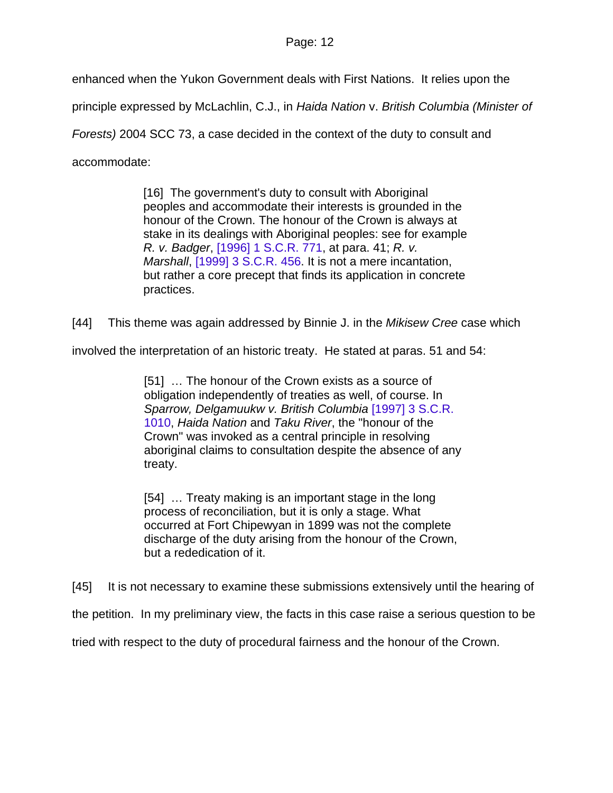enhanced when the Yukon Government deals with First Nations. It relies upon the

principle expressed by McLachlin, C.J., in *Haida Nation* v. *British Columbia (Minister of* 

*Forests)* 2004 SCC 73, a case decided in the context of the duty to consult and

accommodate:

[16] The government's duty to consult with Aboriginal peoples and accommodate their interests is grounded in the honour of the Crown. The honour of the Crown is always at stake in its dealings with Aboriginal peoples: see for example *R. v. Badger*, [\[1996\] 1 S.C.R. 771](http://www.lexisnexis.com/ca/legal/search/runRemoteLink.do?service=citation&langcountry=CA&risb=21_T4244857428&A=0.7879226706408317&linkInfo=CA%23SCR%23year%251996%25page%25771%25vol%251%25sel2%251%25sel1%251996%25&bct=A), at para. 41; *R. v. Marshall*, [\[1999\] 3 S.C.R. 456.](http://www.lexisnexis.com/ca/legal/search/runRemoteLink.do?service=citation&langcountry=CA&risb=21_T4244857428&A=0.7951436545419387&linkInfo=CA%23SCR%23year%251999%25page%25456%25vol%253%25sel2%253%25sel1%251999%25&bct=A) It is not a mere incantation, but rather a core precept that finds its application in concrete practices.

[44] This theme was again addressed by Binnie J. in the *Mikisew Cree* case which

involved the interpretation of an historic treaty. He stated at paras. 51 and 54:

[51] … The honour of the Crown exists as a source of obligation independently of treaties as well, of course. In *Sparrow, Delgamuukw v. British Columbia* [\[1997\] 3 S.C.R.](http://www.lexisnexis.com/ca/legal/search/runRemoteLink.do?service=citation&langcountry=CA&risb=21_T4252612076&A=0.4035791106154343&linkInfo=CA%23SCR%23year%251997%25page%251010%25vol%253%25sel2%253%25sel1%251997%25&bct=A)  [1010,](http://www.lexisnexis.com/ca/legal/search/runRemoteLink.do?service=citation&langcountry=CA&risb=21_T4252612076&A=0.4035791106154343&linkInfo=CA%23SCR%23year%251997%25page%251010%25vol%253%25sel2%253%25sel1%251997%25&bct=A) *Haida Nation* and *Taku River*, the "honour of the Crown" was invoked as a central principle in resolving aboriginal claims to consultation despite the absence of any treaty.

[54] … Treaty making is an important stage in the long process of reconciliation, but it is only a stage. What occurred at Fort Chipewyan in 1899 was not the complete discharge of the duty arising from the honour of the Crown, but a rededication of it.

[45] It is not necessary to examine these submissions extensively until the hearing of

the petition. In my preliminary view, the facts in this case raise a serious question to be

tried with respect to the duty of procedural fairness and the honour of the Crown.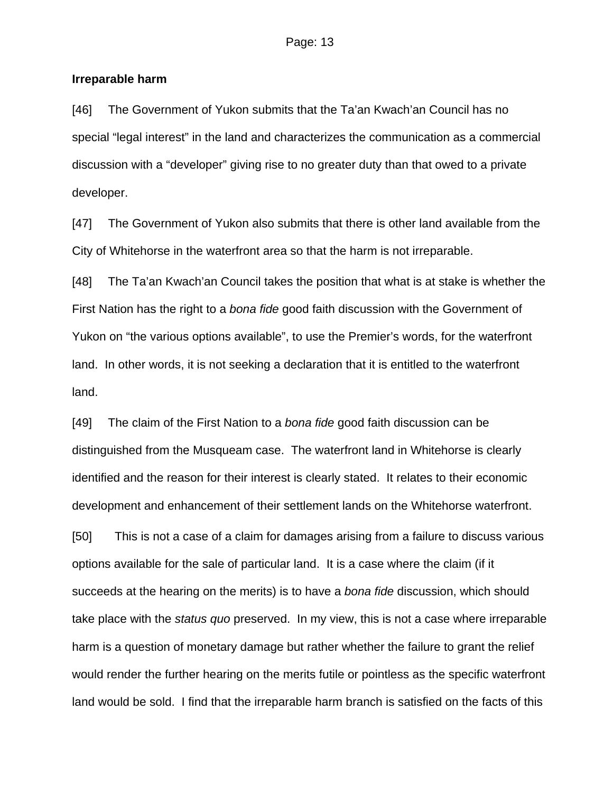#### **Irreparable harm**

[46] The Government of Yukon submits that the Ta'an Kwach'an Council has no special "legal interest" in the land and characterizes the communication as a commercial discussion with a "developer" giving rise to no greater duty than that owed to a private developer.

[47] The Government of Yukon also submits that there is other land available from the City of Whitehorse in the waterfront area so that the harm is not irreparable.

[48] The Ta'an Kwach'an Council takes the position that what is at stake is whether the First Nation has the right to a *bona fide* good faith discussion with the Government of Yukon on "the various options available", to use the Premier's words, for the waterfront land. In other words, it is not seeking a declaration that it is entitled to the waterfront land.

[49] The claim of the First Nation to a *bona fide* good faith discussion can be distinguished from the Musqueam case. The waterfront land in Whitehorse is clearly identified and the reason for their interest is clearly stated. It relates to their economic development and enhancement of their settlement lands on the Whitehorse waterfront.

[50] This is not a case of a claim for damages arising from a failure to discuss various options available for the sale of particular land. It is a case where the claim (if it succeeds at the hearing on the merits) is to have a *bona fide* discussion, which should take place with the *status quo* preserved. In my view, this is not a case where irreparable harm is a question of monetary damage but rather whether the failure to grant the relief would render the further hearing on the merits futile or pointless as the specific waterfront land would be sold. I find that the irreparable harm branch is satisfied on the facts of this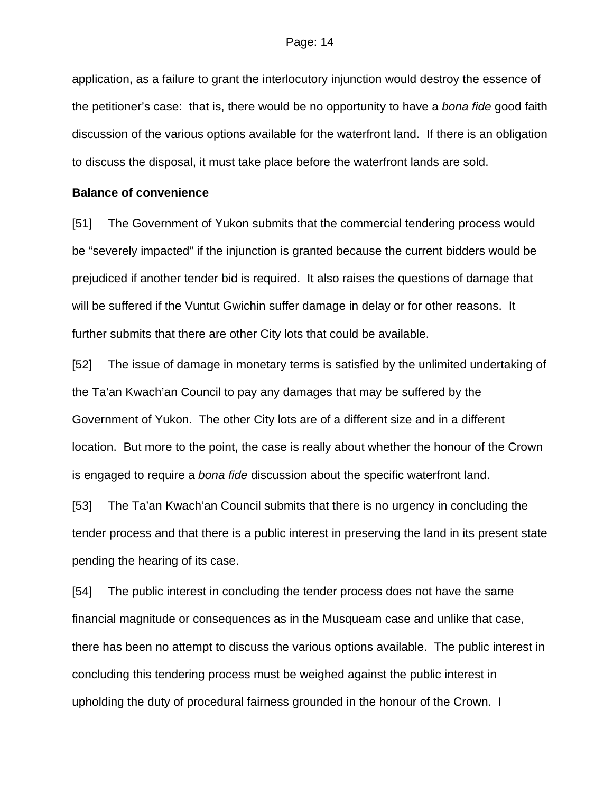application, as a failure to grant the interlocutory injunction would destroy the essence of the petitioner's case: that is, there would be no opportunity to have a *bona fide* good faith discussion of the various options available for the waterfront land. If there is an obligation to discuss the disposal, it must take place before the waterfront lands are sold.

#### **Balance of convenience**

[51] The Government of Yukon submits that the commercial tendering process would be "severely impacted" if the injunction is granted because the current bidders would be prejudiced if another tender bid is required. It also raises the questions of damage that will be suffered if the Vuntut Gwichin suffer damage in delay or for other reasons. It further submits that there are other City lots that could be available.

[52] The issue of damage in monetary terms is satisfied by the unlimited undertaking of the Ta'an Kwach'an Council to pay any damages that may be suffered by the Government of Yukon. The other City lots are of a different size and in a different location. But more to the point, the case is really about whether the honour of the Crown is engaged to require a *bona fide* discussion about the specific waterfront land.

[53] The Ta'an Kwach'an Council submits that there is no urgency in concluding the tender process and that there is a public interest in preserving the land in its present state pending the hearing of its case.

[54] The public interest in concluding the tender process does not have the same financial magnitude or consequences as in the Musqueam case and unlike that case, there has been no attempt to discuss the various options available. The public interest in concluding this tendering process must be weighed against the public interest in upholding the duty of procedural fairness grounded in the honour of the Crown. I